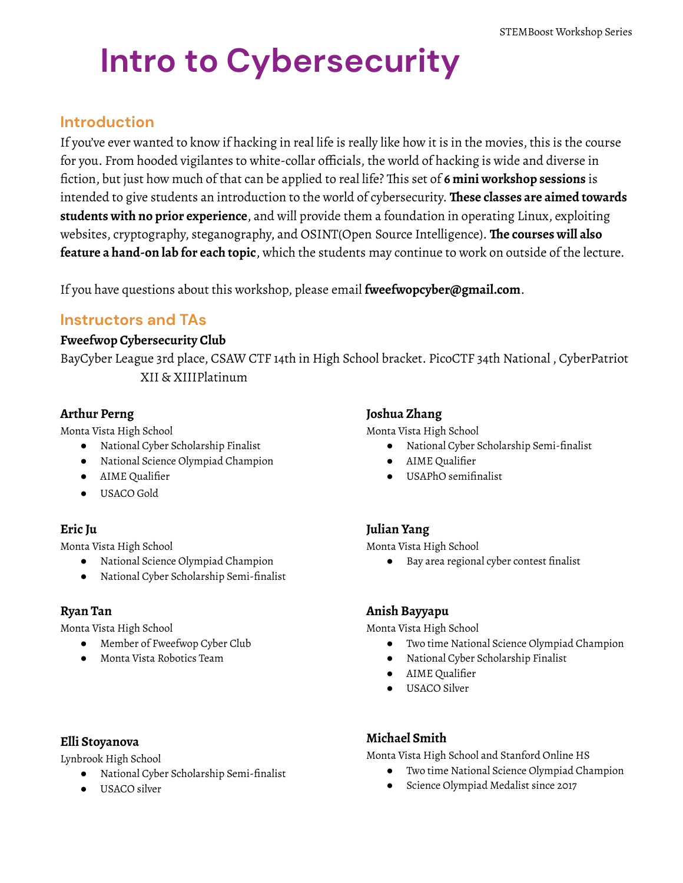# **Intro to Cybersecurity**

## **Introduction**

If you've ever wanted to know if hacking in real life is really like how it is in the movies, this is the course for you. From hooded vigilantes to white-collar officials, the world of hacking is wide and diverse in fiction, but just how much of that can be applied to real life? This set of **6 mini workshop sessions** is intended to give students an introduction to the world of cybersecurity. **These classes are aimed towards students with no prior experience**, and will provide them a foundation in operating Linux, exploiting websites, cryptography, steganography, and OSINT(Open Source Intelligence). **The courses will also feature a hand-on lab for each topic**, which the students may continue to work on outside of the lecture.

If you have questions about this workshop, please email **fweefwopcyber@gmail.com**.

### **Instructors and TAs**

#### **Fweefwop Cybersecurity Club**

BayCyber League 3rd place, CSAW CTF 14th in High School bracket. PicoCTF 34th National , CyberPatriot XII & XIIIPlatinum

#### **Arthur Perng**

Monta Vista High School

- National Cyber Scholarship Finalist
- National Science Olympiad Champion
- AIME Qualifier
- USACO Gold

#### **Eric Ju**

Monta Vista High School

- National Science Olympiad Champion
- National Cyber Scholarship Semi-finalist

#### **Ryan Tan**

Monta Vista High School

- Member of Fweefwop Cyber Club
- Monta Vista Robotics Team

#### **Elli Stoyanova**

Lynbrook High School

- National Cyber Scholarship Semi-finalist
- USACO silver

#### **Joshua Zhang**

Monta Vista High School

- National Cyber Scholarship Semi-finalist
- AIME Qualifier
- USAPhO semifinalist

#### **Julian Yang**

Monta Vista High School

● Bay area regional cyber contest finalist

#### **Anish Bayyapu**

Monta Vista High School

- Two time National Science Olympiad Champion
- National Cyber Scholarship Finalist
- AIME Qualifier
- USACO Silver

#### **Michael Smith**

Monta Vista High School and Stanford Online HS

- Two time National Science Olympiad Champion
- Science Olympiad Medalist since 2017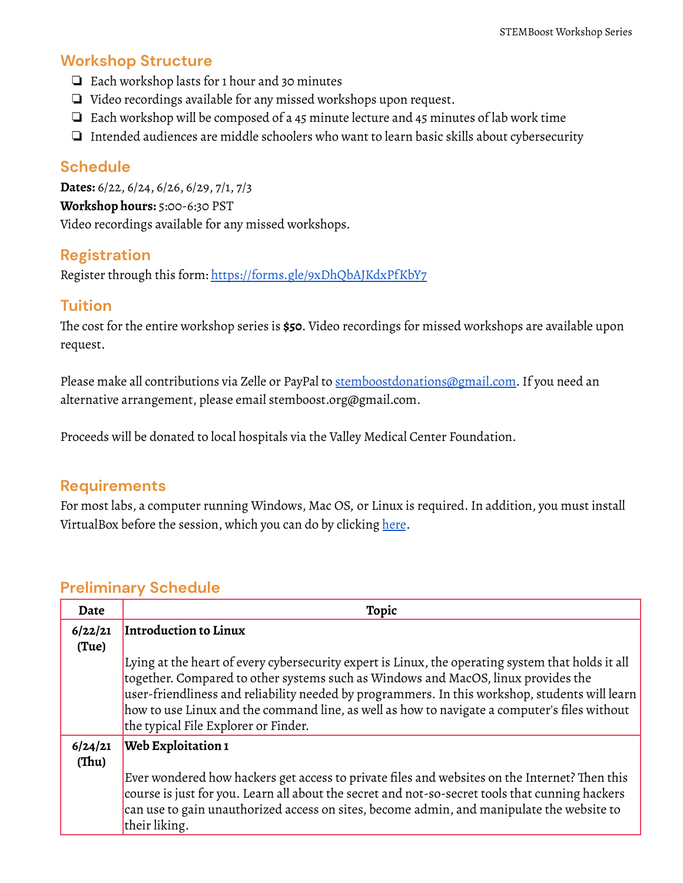## **Workshop Structure**

- ❏ Each workshop lasts for 1 hour and 30 minutes
- ❏ Video recordings available for any missed workshops upon request.
- ❏ Each workshop will be composed of a 45 minute lecture and 45 minutes of lab work time
- ❏ Intended audiences are middle schoolers who want to learn basic skills about cybersecurity

## **Schedule**

**Dates:** 6/22, 6/24, 6/26, 6/29, 7/1, 7/3 **Workshop hours:** 5:00-6:30 PST Video recordings available for any missed workshops.

## **Registration**

Register through this form: <https://forms.gle/9xDhQbAJKdxPfKbY7>

## **Tuition**

The cost for the entire workshop series is **\$50**. Video recordings for missed workshops are available upon request.

Please make all contributions via Zelle or PayPal to [stemboostdonations@gmail.com.](mailto:stemboostdonations@gmail.com) If you need an alternative arrangement, please email stemboost.org@gmail.com.

Proceeds will be donated to local hospitals via the Valley Medical Center Foundation.

## **Requirements**

For most labs, a computer running Windows, Mac OS, or Linux is required.In addition, you must install VirtualBox before the session, which you can do by clicking [here](https://www.virtualbox.org/wiki/Download_Old_Builds_6_0).

## **Preliminary Schedule**

| Date             | Topic                                                                                                                                                                                                                                                                                                                                                                                                                            |
|------------------|----------------------------------------------------------------------------------------------------------------------------------------------------------------------------------------------------------------------------------------------------------------------------------------------------------------------------------------------------------------------------------------------------------------------------------|
| 6/22/21          | Introduction to Linux                                                                                                                                                                                                                                                                                                                                                                                                            |
| (Tue)            |                                                                                                                                                                                                                                                                                                                                                                                                                                  |
|                  | Lying at the heart of every cybersecurity expert is Linux, the operating system that holds it all<br>together. Compared to other systems such as Windows and MacOS, linux provides the<br>user-friendliness and reliability needed by programmers. In this workshop, students will learn<br>how to use Linux and the command line, as well as how to navigate a computer's files without<br>the typical File Explorer or Finder. |
| 6/24/21<br>(Thu) | <b>Web Exploitation 1</b>                                                                                                                                                                                                                                                                                                                                                                                                        |
|                  | Ever wondered how hackers get access to private files and websites on the Internet? Then this<br>course is just for you. Learn all about the secret and not-so-secret tools that cunning hackers<br>can use to gain unauthorized access on sites, become admin, and manipulate the website to<br>their liking.                                                                                                                   |